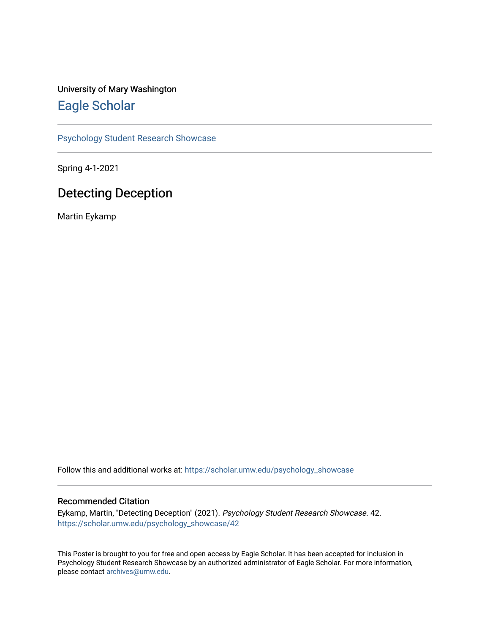#### University of Mary Washington [Eagle Scholar](https://scholar.umw.edu/)

[Psychology Student Research Showcase](https://scholar.umw.edu/psychology_showcase)

Spring 4-1-2021

#### Detecting Deception

Martin Eykamp

Follow this and additional works at: [https://scholar.umw.edu/psychology\\_showcase](https://scholar.umw.edu/psychology_showcase?utm_source=scholar.umw.edu%2Fpsychology_showcase%2F42&utm_medium=PDF&utm_campaign=PDFCoverPages)

#### Recommended Citation

Eykamp, Martin, "Detecting Deception" (2021). Psychology Student Research Showcase. 42. [https://scholar.umw.edu/psychology\\_showcase/42](https://scholar.umw.edu/psychology_showcase/42?utm_source=scholar.umw.edu%2Fpsychology_showcase%2F42&utm_medium=PDF&utm_campaign=PDFCoverPages) 

This Poster is brought to you for free and open access by Eagle Scholar. It has been accepted for inclusion in Psychology Student Research Showcase by an authorized administrator of Eagle Scholar. For more information, please contact [archives@umw.edu.](mailto:archives@umw.edu)